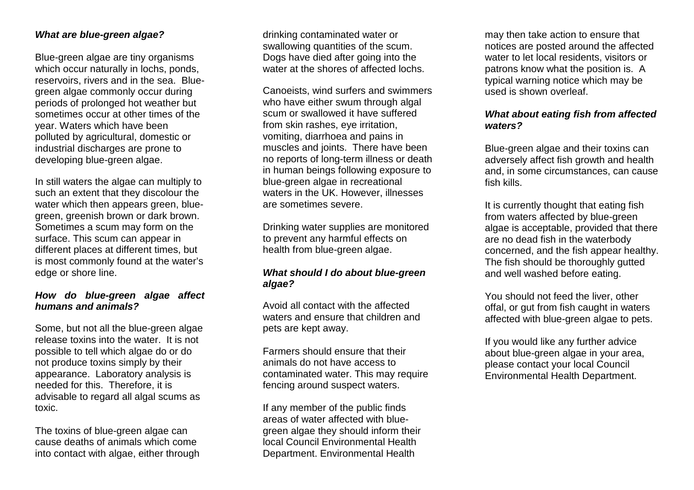## **What are blue-green algae?**

Blue-green algae are tiny organisms which occur naturally in lochs, ponds, reservoirs, rivers and in the sea. Bluegreen algae commonly occur during periods of prolonged hot weather but sometimes occur at other times of the year. Waters which have been polluted by agricultural, domestic or industrial discharges are prone to developing blue-green algae.

In still waters the algae can multiply to such an extent that they discolour the water which then appears green, bluegreen, greenish brown or dark brown. Sometimes a scum may form on the surface. This scum can appear in different places at different times, but is most commonly found at the water's edge or shore line.

# **How do blue-green algae affect humans and animals?**

Some, but not all the blue-green algae release toxins into the water. It is not possible to tell which algae do or do not produce toxins simply by their appearance. Laboratory analysis is needed for this. Therefore, it is advisable to regard all algal scums as toxic.

The toxins of blue-green algae can cause deaths of animals which come into contact with algae, either through drinking contaminated water or swallowing quantities of the scum. Dogs have died after going into the water at the shores of affected lochs.

Canoeists, wind surfers and swimmers who have either swum through algal scum or swallowed it have suffered from skin rashes, eye irritation, vomiting, diarrhoea and pains in muscles and joints. There have been no reports of long-term illness or death in human beings following exposure to blue-green algae in recreational waters in the UK. However, illnesses are sometimes severe.

Drinking water supplies are monitored to prevent any harmful effects on health from blue-green algae.

# **What should I do about blue-green algae?**

Avoid all contact with the affected waters and ensure that children and pets are kept away.

Farmers should ensure that their animals do not have access to contaminated water. This may require fencing around suspect waters.

If any member of the public finds areas of water affected with bluegreen algae they should inform their local Council Environmental Health Department. Environmental Health

may then take action to ensure that notices are posted around the affected water to let local residents, visitors or patrons know what the position is. A typical warning notice which may be used is shown overleaf.

## **What about eating fish from affected waters?**

Blue-green algae and their toxins can adversely affect fish growth and health and, in some circumstances, can cause fish kills.

It is currently thought that eating fish from waters affected by blue-green algae is acceptable, provided that there are no dead fish in the waterbody concerned, and the fish appear healthy. The fish should be thoroughly gutted and well washed before eating.

You should not feed the liver, other offal, or gut from fish caught in waters affected with blue-green algae to pets.

If you would like any further advice about blue-green algae in your area, please contact your local Council Environmental Health Department.